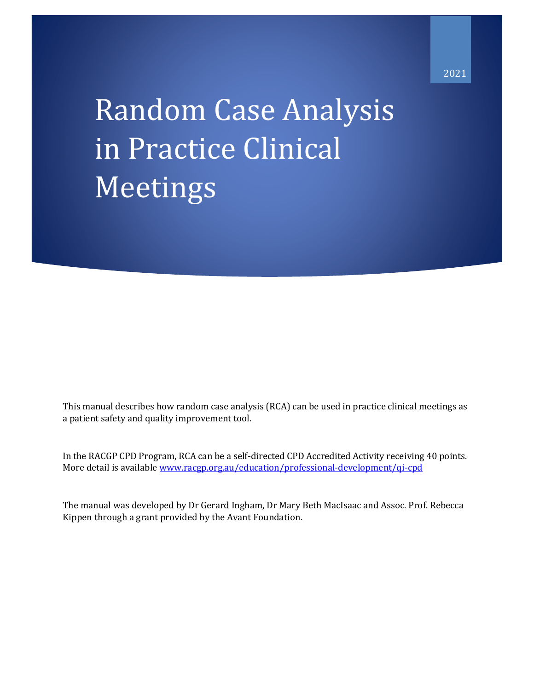# Random Case Analysis in Practice Clinical Meetings

This manual describes how random case analysis (RCA) can be used in practice clinical meetings as a patient safety and quality improvement tool.

In the RACGP CPD Program, RCA can be a self-directed CPD Accredited Activity receiving 40 points. More detail is available [www.racgp.org.au/education/professional-development/qi-cpd](file:///C:/Users/DRGIN/Dropbox/Research/Avant/RACGP%20QI%20and%20CPD/RCA%20RACGP%20files/www.racgp.org.au/education/professional-development/qi-cpd)

The manual was developed by Dr Gerard Ingham, Dr Mary Beth MacIsaac and Assoc. Prof. Rebecca Kippen through a grant provided by the Avant Foundation.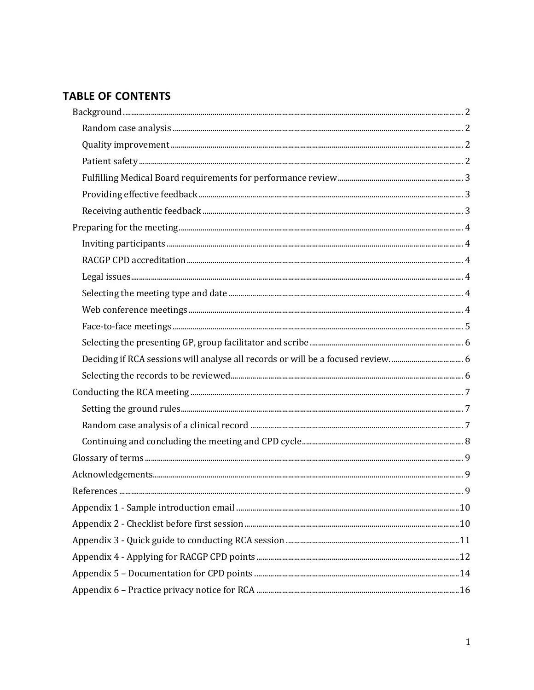# **TABLE OF CONTENTS**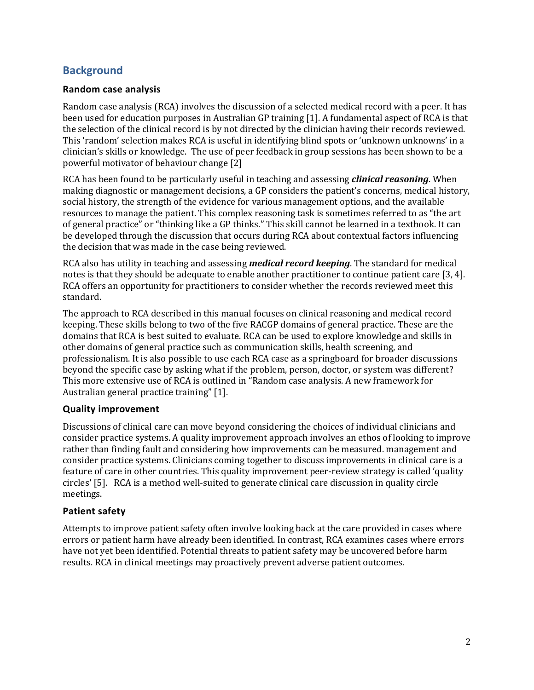# <span id="page-2-0"></span>**Background**

## <span id="page-2-1"></span>**Random case analysis**

Random case analysis (RCA) involves the discussion of a selected medical record with a peer. It has been used for education purposes in Australian GP training [1]. A fundamental aspect of RCA is that the selection of the clinical record is by not directed by the clinician having their records reviewed. This 'random' selection makes RCA is useful in identifying blind spots or 'unknown unknowns' in a clinician's skills or knowledge. The use of peer feedback in group sessions has been shown to be a powerful motivator of behaviour change [2]

RCA has been found to be particularly useful in teaching and assessing *clinical reasoning*. When making diagnostic or management decisions, a GP considers the patient's concerns, medical history, social history, the strength of the evidence for various management options, and the available resources to manage the patient. This complex reasoning task is sometimes referred to as "the art of general practice" or "thinking like a GP thinks." This skill cannot be learned in a textbook. It can be developed through the discussion that occurs during RCA about contextual factors influencing the decision that was made in the case being reviewed.

RCA also has utility in teaching and assessing *medical record keeping*. The standard for medical notes is that they should be adequate to enable another practitioner to continue patient care [3, 4]. RCA offers an opportunity for practitioners to consider whether the records reviewed meet this standard.

The approach to RCA described in this manual focuses on clinical reasoning and medical record keeping. These skills belong to two of the five RACGP domains of general practice. These are the domains that RCA is best suited to evaluate. RCA can be used to explore knowledge and skills in other domains of general practice such as communication skills, health screening, and professionalism. It is also possible to use each RCA case as a springboard for broader discussions beyond the specific case by asking what if the problem, person, doctor, or system was different? This more extensive use of RCA is outlined in "Random case analysis. A new framework for Australian general practice training" [1].

## <span id="page-2-2"></span>**Quality improvement**

Discussions of clinical care can move beyond considering the choices of individual clinicians and consider practice systems. A quality improvement approach involves an ethos of looking to improve rather than finding fault and considering how improvements can be measured. management and consider practice systems. Clinicians coming together to discuss improvements in clinical care is a feature of care in other countries. This quality improvement peer-review strategy is called 'quality circles' [5]. RCA is a method well-suited to generate clinical care discussion in quality circle meetings.

## <span id="page-2-3"></span>**Patient safety**

Attempts to improve patient safety often involve looking back at the care provided in cases where errors or patient harm have already been identified. In contrast, RCA examines cases where errors have not yet been identified. Potential threats to patient safety may be uncovered before harm results. RCA in clinical meetings may proactively prevent adverse patient outcomes.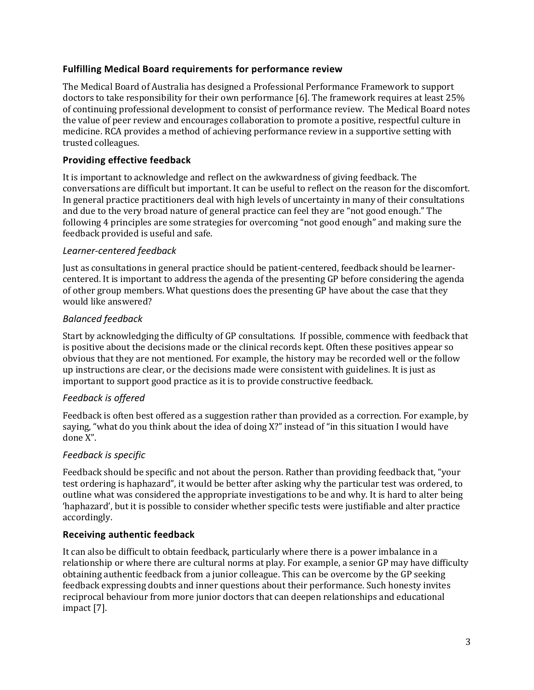## <span id="page-3-0"></span>**Fulfilling Medical Board requirements for performance review**

The Medical Board of Australia has designed a Professional Performance Framework to support doctors to take responsibility for their own performance [6]. The framework requires at least 25% of continuing professional development to consist of performance review. The Medical Board notes the value of peer review and encourages collaboration to promote a positive, respectful culture in medicine. RCA provides a method of achieving performance review in a supportive setting with trusted colleagues.

## <span id="page-3-1"></span>**Providing effective feedback**

It is important to acknowledge and reflect on the awkwardness of giving feedback. The conversations are difficult but important. It can be useful to reflect on the reason for the discomfort. In general practice practitioners deal with high levels of uncertainty in many of their consultations and due to the very broad nature of general practice can feel they are "not good enough." The following 4 principles are some strategies for overcoming "not good enough" and making sure the feedback provided is useful and safe.

## *Learner-centered feedback*

Just as consultations in general practice should be patient-centered, feedback should be learnercentered. It is important to address the agenda of the presenting GP before considering the agenda of other group members. What questions does the presenting GP have about the case that they would like answered?

## *Balanced feedback*

Start by acknowledging the difficulty of GP consultations. If possible, commence with feedback that is positive about the decisions made or the clinical records kept. Often these positives appear so obvious that they are not mentioned. For example, the history may be recorded well or the follow up instructions are clear, or the decisions made were consistent with guidelines. It is just as important to support good practice as it is to provide constructive feedback.

## *Feedback is offered*

Feedback is often best offered as a suggestion rather than provided as a correction. For example, by saying, "what do you think about the idea of doing X?" instead of "in this situation I would have done X".

## *Feedback is specific*

Feedback should be specific and not about the person. Rather than providing feedback that, "your test ordering is haphazard", it would be better after asking why the particular test was ordered, to outline what was considered the appropriate investigations to be and why. It is hard to alter being 'haphazard', but it is possible to consider whether specific tests were justifiable and alter practice accordingly.

## <span id="page-3-2"></span>**Receiving authentic feedback**

It can also be difficult to obtain feedback, particularly where there is a power imbalance in a relationship or where there are cultural norms at play. For example, a senior GP may have difficulty obtaining authentic feedback from a junior colleague. This can be overcome by the GP seeking feedback expressing doubts and inner questions about their performance. Such honesty invites reciprocal behaviour from more junior doctors that can deepen relationships and educational impact [7].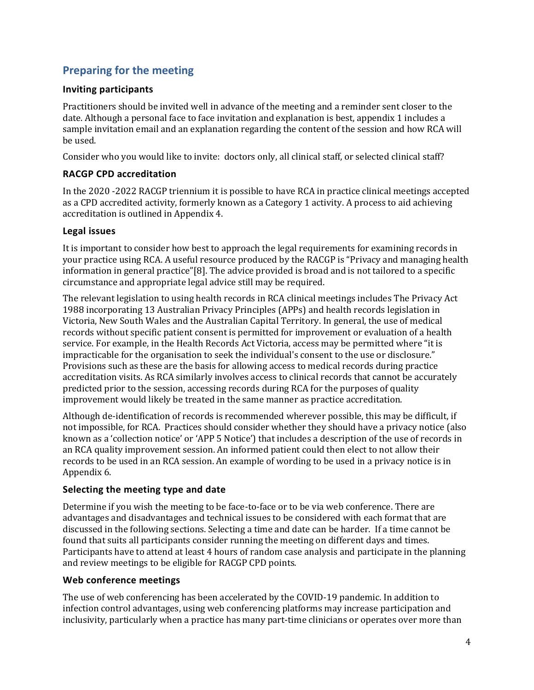# <span id="page-4-0"></span>**Preparing for the meeting**

## <span id="page-4-1"></span>**Inviting participants**

Practitioners should be invited well in advance of the meeting and a reminder sent closer to the date. Although a personal face to face invitation and explanation is best, appendix 1 includes a sample invitation email and an explanation regarding the content of the session and how RCA will be used.

Consider who you would like to invite: doctors only, all clinical staff, or selected clinical staff?

## <span id="page-4-2"></span>**RACGP CPD accreditation**

In the 2020 -2022 RACGP triennium it is possible to have RCA in practice clinical meetings accepted as a CPD accredited activity, formerly known as a Category 1 activity. A process to aid achieving accreditation is outlined in Appendix 4.

## <span id="page-4-3"></span>**Legal issues**

It is important to consider how best to approach the legal requirements for examining records in your practice using RCA. A useful resource produced by the RACGP is "Privacy and managing health information in general practice"[8]. The advice provided is broad and is not tailored to a specific circumstance and appropriate legal advice still may be required.

The relevant legislation to using health records in RCA clinical meetings includes The Privacy Act 1988 incorporating 13 Australian Privacy Principles (APPs) and health records legislation in Victoria, New South Wales and the Australian Capital Territory. In general, the use of medical records without specific patient consent is permitted for improvement or evaluation of a health service. For example, in the Health Records Act Victoria, access may be permitted where "it is impracticable for the organisation to seek the individual's consent to the use or disclosure." Provisions such as these are the basis for allowing access to medical records during practice accreditation visits. As RCA similarly involves access to clinical records that cannot be accurately predicted prior to the session, accessing records during RCA for the purposes of quality improvement would likely be treated in the same manner as practice accreditation.

Although de-identification of records is recommended wherever possible, this may be difficult, if not impossible, for RCA. Practices should consider whether they should have a privacy notice (also known as a 'collection notice' or 'APP 5 Notice') that includes a description of the use of records in an RCA quality improvement session. An informed patient could then elect to not allow their records to be used in an RCA session. An example of wording to be used in a privacy notice is in Appendix 6.

## <span id="page-4-4"></span>**Selecting the meeting type and date**

Determine if you wish the meeting to be face-to-face or to be via web conference. There are advantages and disadvantages and technical issues to be considered with each format that are discussed in the following sections. Selecting a time and date can be harder. If a time cannot be found that suits all participants consider running the meeting on different days and times. Participants have to attend at least 4 hours of random case analysis and participate in the planning and review meetings to be eligible for RACGP CPD points.

## <span id="page-4-5"></span>**Web conference meetings**

The use of web conferencing has been accelerated by the COVID-19 pandemic. In addition to infection control advantages, using web conferencing platforms may increase participation and inclusivity, particularly when a practice has many part-time clinicians or operates over more than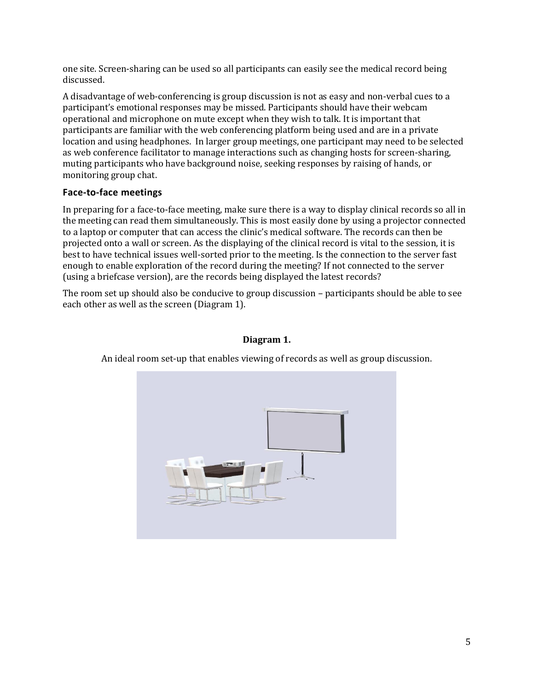one site. Screen-sharing can be used so all participants can easily see the medical record being discussed.

A disadvantage of web-conferencing is group discussion is not as easy and non-verbal cues to a participant's emotional responses may be missed. Participants should have their webcam operational and microphone on mute except when they wish to talk. It is important that participants are familiar with the web conferencing platform being used and are in a private location and using headphones. In larger group meetings, one participant may need to be selected as web conference facilitator to manage interactions such as changing hosts for screen-sharing, muting participants who have background noise, seeking responses by raising of hands, or monitoring group chat.

## <span id="page-5-0"></span>**Face-to-face meetings**

In preparing for a face-to-face meeting, make sure there is a way to display clinical records so all in the meeting can read them simultaneously. This is most easily done by using a projector connected to a laptop or computer that can access the clinic's medical software. The records can then be projected onto a wall or screen. As the displaying of the clinical record is vital to the session, it is best to have technical issues well-sorted prior to the meeting. Is the connection to the server fast enough to enable exploration of the record during the meeting? If not connected to the server (using a briefcase version), are the records being displayed the latest records?

The room set up should also be conducive to group discussion – participants should be able to see each other as well as the screen (Diagram 1).

## **Diagram 1.**

An ideal room set-up that enables viewing of records as well as group discussion.

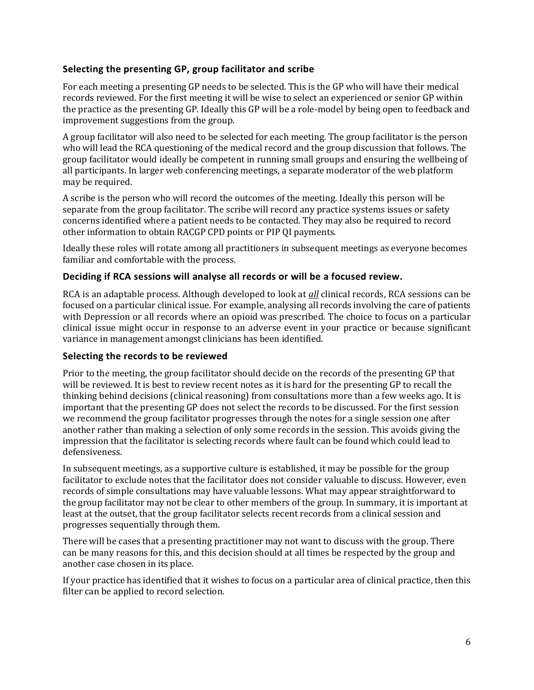## <span id="page-6-0"></span>**Selecting the presenting GP, group facilitator and scribe**

For each meeting a presenting GP needs to be selected. This is the GP who will have their medical records reviewed. For the first meeting it will be wise to select an experienced or senior GP within the practice as the presenting GP. Ideally this GP will be a role-model by being open to feedback and improvement suggestions from the group.

A group facilitator will also need to be selected for each meeting. The group facilitator is the person who will lead the RCA questioning of the medical record and the group discussion that follows. The group facilitator would ideally be competent in running small groups and ensuring the wellbeing of all participants. In larger web conferencing meetings, a separate moderator of the web platform may be required.

A scribe is the person who will record the outcomes of the meeting. Ideally this person will be separate from the group facilitator. The scribe will record any practice systems issues or safety concerns identified where a patient needs to be contacted. They may also be required to record other information to obtain RACGP CPD points or PIP QI payments.

Ideally these roles will rotate among all practitioners in subsequent meetings as everyone becomes familiar and comfortable with the process.

## <span id="page-6-1"></span>**Deciding if RCA sessions will analyse all records or will be a focused review.**

RCA is an adaptable process. Although developed to look at *all* clinical records, RCA sessions can be focused on a particular clinical issue. For example, analysing all records involving the care of patients with Depression or all records where an opioid was prescribed. The choice to focus on a particular clinical issue might occur in response to an adverse event in your practice or because significant variance in management amongst clinicians has been identified.

## <span id="page-6-2"></span>**Selecting the records to be reviewed**

Prior to the meeting, the group facilitator should decide on the records of the presenting GP that will be reviewed. It is best to review recent notes as it is hard for the presenting GP to recall the thinking behind decisions (clinical reasoning) from consultations more than a few weeks ago. It is important that the presenting GP does not select the records to be discussed. For the first session we recommend the group facilitator progresses through the notes for a single session one after another rather than making a selection of only some records in the session. This avoids giving the impression that the facilitator is selecting records where fault can be found which could lead to defensiveness.

In subsequent meetings, as a supportive culture is established, it may be possible for the group facilitator to exclude notes that the facilitator does not consider valuable to discuss. However, even records of simple consultations may have valuable lessons. What may appear straightforward to the group facilitator may not be clear to other members of the group. In summary, it is important at least at the outset, that the group facilitator selects recent records from a clinical session and progresses sequentially through them.

There will be cases that a presenting practitioner may not want to discuss with the group. There can be many reasons for this, and this decision should at all times be respected by the group and another case chosen in its place.

If your practice has identified that it wishes to focus on a particular area of clinical practice, then this filter can be applied to record selection.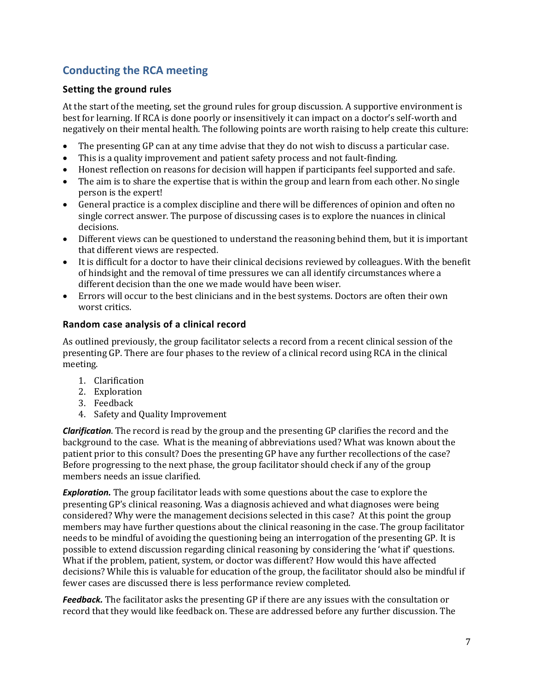# <span id="page-7-0"></span>**Conducting the RCA meeting**

## <span id="page-7-1"></span>**Setting the ground rules**

At the start of the meeting, set the ground rules for group discussion. A supportive environment is best for learning. If RCA is done poorly or insensitively it can impact on a doctor's self-worth and negatively on their mental health. The following points are worth raising to help create this culture:

- The presenting GP can at any time advise that they do not wish to discuss a particular case.
- This is a quality improvement and patient safety process and not fault-finding.
- Honest reflection on reasons for decision will happen if participants feel supported and safe.
- The aim is to share the expertise that is within the group and learn from each other. No single person is the expert!
- General practice is a complex discipline and there will be differences of opinion and often no single correct answer. The purpose of discussing cases is to explore the nuances in clinical decisions.
- Different views can be questioned to understand the reasoning behind them, but it is important that different views are respected.
- It is difficult for a doctor to have their clinical decisions reviewed by colleagues. With the benefit of hindsight and the removal of time pressures we can all identify circumstances where a different decision than the one we made would have been wiser.
- Errors will occur to the best clinicians and in the best systems. Doctors are often their own worst critics.

## <span id="page-7-2"></span>**Random case analysis of a clinical record**

As outlined previously, the group facilitator selects a record from a recent clinical session of the presenting GP. There are four phases to the review of a clinical record using RCA in the clinical meeting.

- 1. Clarification
- 2. Exploration
- 3. Feedback
- 4. Safety and Quality Improvement

*Clarification*. The record is read by the group and the presenting GP clarifies the record and the background to the case. What is the meaning of abbreviations used? What was known about the patient prior to this consult? Does the presenting GP have any further recollections of the case? Before progressing to the next phase, the group facilitator should check if any of the group members needs an issue clarified.

*Exploration.* The group facilitator leads with some questions about the case to explore the presenting GP's clinical reasoning. Was a diagnosis achieved and what diagnoses were being considered? Why were the management decisions selected in this case? At this point the group members may have further questions about the clinical reasoning in the case. The group facilitator needs to be mindful of avoiding the questioning being an interrogation of the presenting GP. It is possible to extend discussion regarding clinical reasoning by considering the 'what if' questions. What if the problem, patient, system, or doctor was different? How would this have affected decisions? While this is valuable for education of the group, the facilitator should also be mindful if fewer cases are discussed there is less performance review completed.

**Feedback.** The facilitator asks the presenting GP if there are any issues with the consultation or record that they would like feedback on. These are addressed before any further discussion. The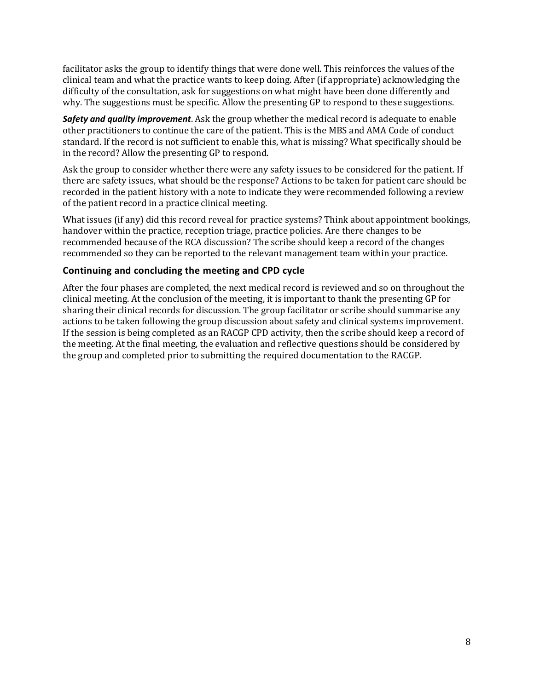facilitator asks the group to identify things that were done well. This reinforces the values of the clinical team and what the practice wants to keep doing. After (if appropriate) acknowledging the difficulty of the consultation, ask for suggestions on what might have been done differently and why. The suggestions must be specific. Allow the presenting GP to respond to these suggestions.

*Safety and quality improvement*. Ask the group whether the medical record is adequate to enable other practitioners to continue the care of the patient. This is the MBS and AMA Code of conduct standard. If the record is not sufficient to enable this, what is missing? What specifically should be in the record? Allow the presenting GP to respond.

Ask the group to consider whether there were any safety issues to be considered for the patient. If there are safety issues, what should be the response? Actions to be taken for patient care should be recorded in the patient history with a note to indicate they were recommended following a review of the patient record in a practice clinical meeting.

What issues (if any) did this record reveal for practice systems? Think about appointment bookings, handover within the practice, reception triage, practice policies. Are there changes to be recommended because of the RCA discussion? The scribe should keep a record of the changes recommended so they can be reported to the relevant management team within your practice.

## <span id="page-8-0"></span>**Continuing and concluding the meeting and CPD cycle**

After the four phases are completed, the next medical record is reviewed and so on throughout the clinical meeting. At the conclusion of the meeting, it is important to thank the presenting GP for sharing their clinical records for discussion. The group facilitator or scribe should summarise any actions to be taken following the group discussion about safety and clinical systems improvement. If the session is being completed as an RACGP CPD activity, then the scribe should keep a record of the meeting. At the final meeting, the evaluation and reflective questions should be considered by the group and completed prior to submitting the required documentation to the RACGP.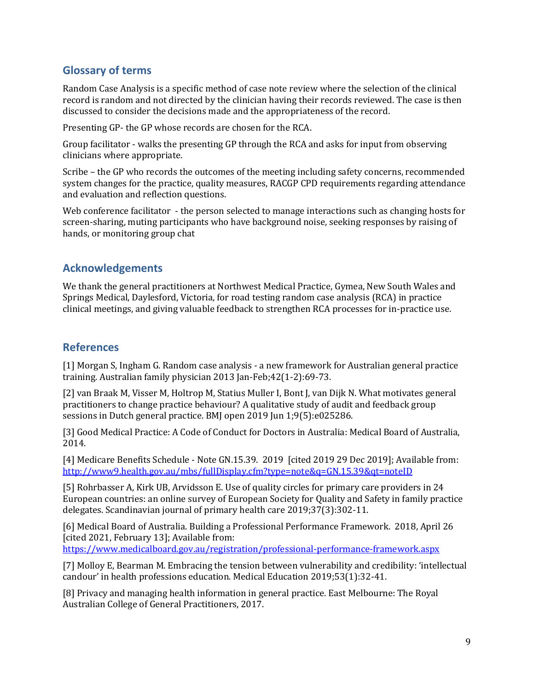## <span id="page-9-0"></span>**Glossary of terms**

Random Case Analysis is a specific method of case note review where the selection of the clinical record is random and not directed by the clinician having their records reviewed. The case is then discussed to consider the decisions made and the appropriateness of the record.

Presenting GP- the GP whose records are chosen for the RCA.

Group facilitator - walks the presenting GP through the RCA and asks for input from observing clinicians where appropriate.

Scribe – the GP who records the outcomes of the meeting including safety concerns, recommended system changes for the practice, quality measures, RACGP CPD requirements regarding attendance and evaluation and reflection questions.

Web conference facilitator - the person selected to manage interactions such as changing hosts for screen-sharing, muting participants who have background noise, seeking responses by raising of hands, or monitoring group chat

## <span id="page-9-1"></span>**Acknowledgements**

We thank the general practitioners at Northwest Medical Practice, Gymea, New South Wales and Springs Medical, Daylesford, Victoria, for road testing random case analysis (RCA) in practice clinical meetings, and giving valuable feedback to strengthen RCA processes for in-practice use.

## <span id="page-9-2"></span>**References**

[1] Morgan S, Ingham G. Random case analysis - a new framework for Australian general practice training. Australian family physician 2013 Jan-Feb;42(1-2):69-73.

[2] van Braak M, Visser M, Holtrop M, Statius Muller I, Bont J, van Dijk N. What motivates general practitioners to change practice behaviour? A qualitative study of audit and feedback group sessions in Dutch general practice. BMJ open 2019 Jun 1;9(5):e025286.

[3] Good Medical Practice: A Code of Conduct for Doctors in Australia: Medical Board of Australia, 2014.

[4] Medicare Benefits Schedule - Note GN.15.39. 2019 [cited 2019 29 Dec 2019]; Available from: <http://www9.health.gov.au/mbs/fullDisplay.cfm?type=note&q=GN.15.39&qt=noteID>

[5] Rohrbasser A, Kirk UB, Arvidsson E. Use of quality circles for primary care providers in 24 European countries: an online survey of European Society for Quality and Safety in family practice delegates. Scandinavian journal of primary health care 2019;37(3):302-11.

[6] Medical Board of Australia. Building a Professional Performance Framework. 2018, April 26 [cited 2021, February 13]; Available from:

<https://www.medicalboard.gov.au/registration/professional-performance-framework.aspx>

[7] Molloy E, Bearman M. Embracing the tension between vulnerability and credibility: 'intellectual candour' in health professions education. Medical Education 2019;53(1):32-41.

[8] Privacy and managing health information in general practice. East Melbourne: The Royal Australian College of General Practitioners, 2017.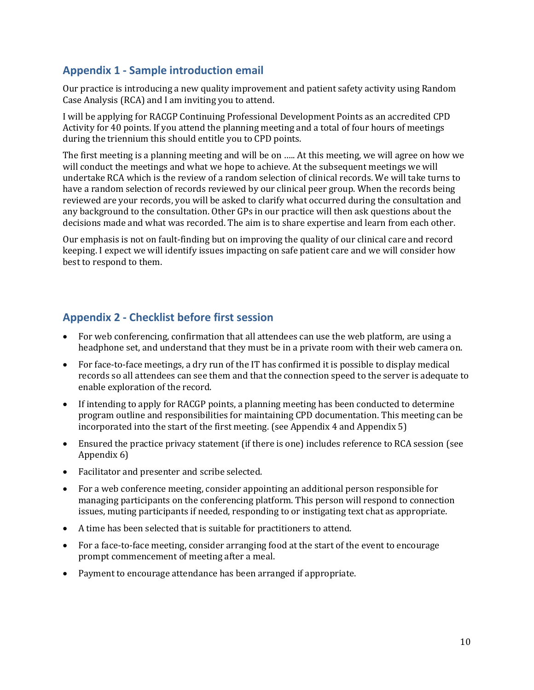## <span id="page-10-0"></span>**Appendix 1 - Sample introduction email**

Our practice is introducing a new quality improvement and patient safety activity using Random Case Analysis (RCA) and I am inviting you to attend.

I will be applying for RACGP Continuing Professional Development Points as an accredited CPD Activity for 40 points. If you attend the planning meeting and a total of four hours of meetings during the triennium this should entitle you to CPD points.

The first meeting is a planning meeting and will be on ….. At this meeting, we will agree on how we will conduct the meetings and what we hope to achieve. At the subsequent meetings we will undertake RCA which is the review of a random selection of clinical records. We will take turns to have a random selection of records reviewed by our clinical peer group. When the records being reviewed are your records, you will be asked to clarify what occurred during the consultation and any background to the consultation. Other GPs in our practice will then ask questions about the decisions made and what was recorded. The aim is to share expertise and learn from each other.

Our emphasis is not on fault-finding but on improving the quality of our clinical care and record keeping. I expect we will identify issues impacting on safe patient care and we will consider how best to respond to them.

## <span id="page-10-1"></span>**Appendix 2 - Checklist before first session**

- For web conferencing, confirmation that all attendees can use the web platform, are using a headphone set, and understand that they must be in a private room with their web camera on.
- For face-to-face meetings, a dry run of the IT has confirmed it is possible to display medical records so all attendees can see them and that the connection speed to the server is adequate to enable exploration of the record.
- If intending to apply for RACGP points, a planning meeting has been conducted to determine program outline and responsibilities for maintaining CPD documentation. This meeting can be incorporated into the start of the first meeting. (see Appendix 4 and Appendix 5)
- Ensured the practice privacy statement (if there is one) includes reference to RCA session (see Appendix 6)
- Facilitator and presenter and scribe selected.
- For a web conference meeting, consider appointing an additional person responsible for managing participants on the conferencing platform. This person will respond to connection issues, muting participants if needed, responding to or instigating text chat as appropriate.
- A time has been selected that is suitable for practitioners to attend.
- For a face-to-face meeting, consider arranging food at the start of the event to encourage prompt commencement of meeting after a meal.
- Payment to encourage attendance has been arranged if appropriate.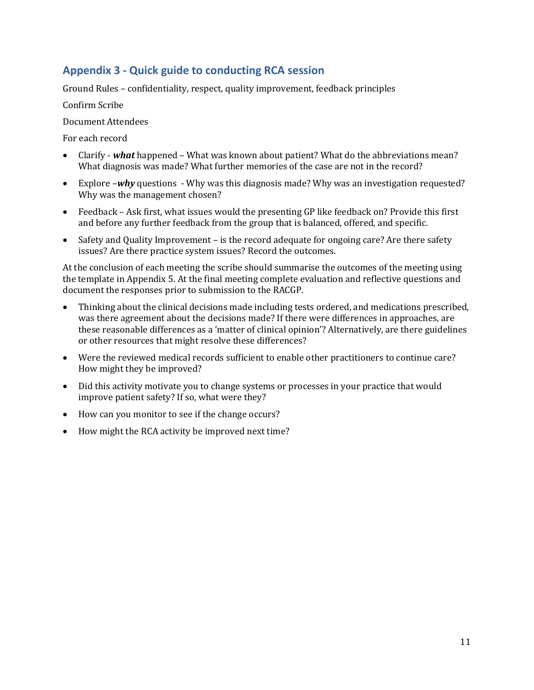# <span id="page-11-0"></span>**Appendix 3 - Quick guide to conducting RCA session**

Ground Rules – confidentiality, respect, quality improvement, feedback principles

Confirm Scribe

Document Attendees

For each record

- Clarify *what* happened What was known about patient? What do the abbreviations mean? What diagnosis was made? What further memories of the case are not in the record?
- Explore –*why* questions Why was this diagnosis made? Why was an investigation requested? Why was the management chosen?
- Feedback Ask first, what issues would the presenting GP like feedback on? Provide this first and before any further feedback from the group that is balanced, offered, and specific.
- Safety and Quality Improvement is the record adequate for ongoing care? Are there safety issues? Are there practice system issues? Record the outcomes.

At the conclusion of each meeting the scribe should summarise the outcomes of the meeting using the template in Appendix 5. At the final meeting complete evaluation and reflective questions and document the responses prior to submission to the RACGP.

- Thinking about the clinical decisions made including tests ordered, and medications prescribed, was there agreement about the decisions made? If there were differences in approaches, are these reasonable differences as a 'matter of clinical opinion'? Alternatively, are there guidelines or other resources that might resolve these differences?
- Were the reviewed medical records sufficient to enable other practitioners to continue care? How might they be improved?
- Did this activity motivate you to change systems or processes in your practice that would improve patient safety? If so, what were they?
- How can you monitor to see if the change occurs?
- How might the RCA activity be improved next time?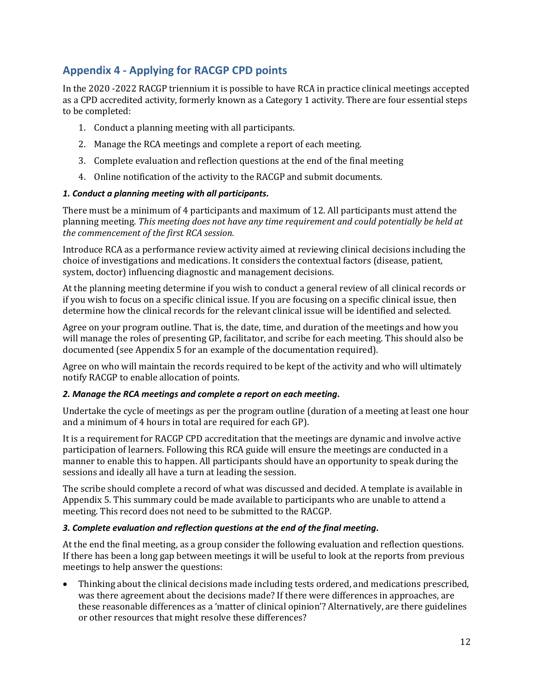# <span id="page-12-0"></span>**Appendix 4 - Applying for RACGP CPD points**

In the 2020 -2022 RACGP triennium it is possible to have RCA in practice clinical meetings accepted as a CPD accredited activity, formerly known as a Category 1 activity. There are four essential steps to be completed:

- 1. Conduct a planning meeting with all participants.
- 2. Manage the RCA meetings and complete a report of each meeting.
- 3. Complete evaluation and reflection questions at the end of the final meeting
- 4. Online notification of the activity to the RACGP and submit documents.

## *1. Conduct a planning meeting with all participants.*

There must be a minimum of 4 participants and maximum of 12. All participants must attend the planning meeting. *This meeting does not have any time requirement and could potentially be held at the commencement of the first RCA session.*

Introduce RCA as a performance review activity aimed at reviewing clinical decisions including the choice of investigations and medications. It considers the contextual factors (disease, patient, system, doctor) influencing diagnostic and management decisions.

At the planning meeting determine if you wish to conduct a general review of all clinical records or if you wish to focus on a specific clinical issue. If you are focusing on a specific clinical issue, then determine how the clinical records for the relevant clinical issue will be identified and selected.

Agree on your program outline. That is, the date, time, and duration of the meetings and how you will manage the roles of presenting GP, facilitator, and scribe for each meeting. This should also be documented (see Appendix 5 for an example of the documentation required).

Agree on who will maintain the records required to be kept of the activity and who will ultimately notify RACGP to enable allocation of points.

## *2. Manage the RCA meetings and complete a report on each meeting.*

Undertake the cycle of meetings as per the program outline (duration of a meeting at least one hour and a minimum of 4 hours in total are required for each GP).

It is a requirement for RACGP CPD accreditation that the meetings are dynamic and involve active participation of learners. Following this RCA guide will ensure the meetings are conducted in a manner to enable this to happen. All participants should have an opportunity to speak during the sessions and ideally all have a turn at leading the session.

The scribe should complete a record of what was discussed and decided. A template is available in Appendix 5. This summary could be made available to participants who are unable to attend a meeting. This record does not need to be submitted to the RACGP.

## *3. Complete evaluation and reflection questions at the end of the final meeting.*

At the end the final meeting, as a group consider the following evaluation and reflection questions. If there has been a long gap between meetings it will be useful to look at the reports from previous meetings to help answer the questions:

• Thinking about the clinical decisions made including tests ordered, and medications prescribed, was there agreement about the decisions made? If there were differences in approaches, are these reasonable differences as a 'matter of clinical opinion'? Alternatively, are there guidelines or other resources that might resolve these differences?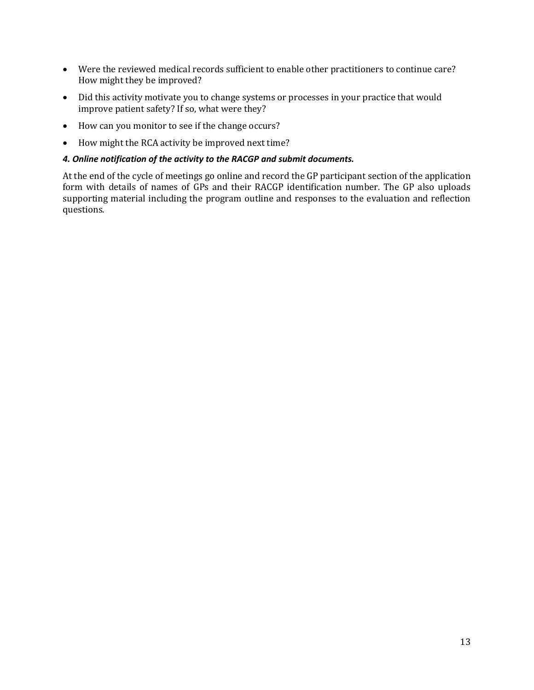- Were the reviewed medical records sufficient to enable other practitioners to continue care? How might they be improved?
- Did this activity motivate you to change systems or processes in your practice that would improve patient safety? If so, what were they?
- How can you monitor to see if the change occurs?
- How might the RCA activity be improved next time?

#### *4. Online notification of the activity to the RACGP and submit documents.*

At the end of the cycle of meetings go online and record the GP participant section of the application form with details of names of GPs and their RACGP identification number. The GP also uploads supporting material including the program outline and responses to the evaluation and reflection questions.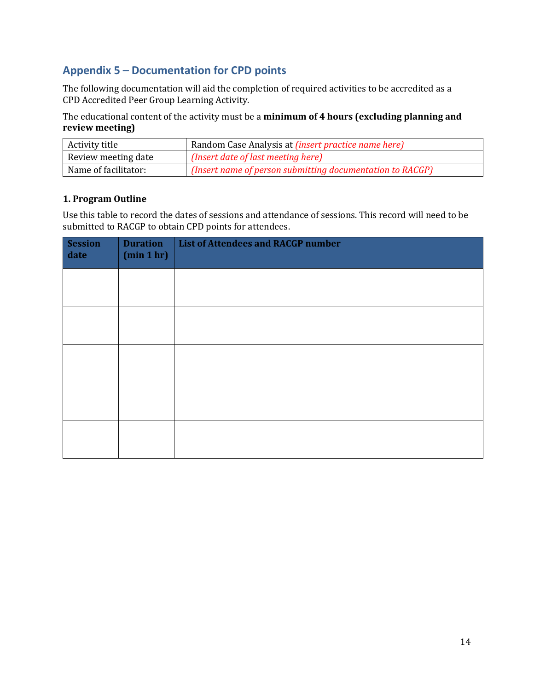# <span id="page-14-0"></span>**Appendix 5 – Documentation for CPD points**

The following documentation will aid the completion of required activities to be accredited as a CPD Accredited Peer Group Learning Activity.

The educational content of the activity must be a **minimum of 4 hours (excluding planning and review meeting)**

| Activity title       | Random Case Analysis at <i>(insert practice name here)</i> |
|----------------------|------------------------------------------------------------|
| Review meeting date  | (Insert date of last meeting here)                         |
| Name of facilitator: | (Insert name of person submitting documentation to RACGP)  |

## **1. Program Outline**

Use this table to record the dates of sessions and attendance of sessions. This record will need to be submitted to RACGP to obtain CPD points for attendees.

| <b>Session</b><br>date | <b>Duration</b><br>(min 1 hr) | <b>List of Attendees and RACGP number</b> |
|------------------------|-------------------------------|-------------------------------------------|
|                        |                               |                                           |
|                        |                               |                                           |
|                        |                               |                                           |
|                        |                               |                                           |
|                        |                               |                                           |
|                        |                               |                                           |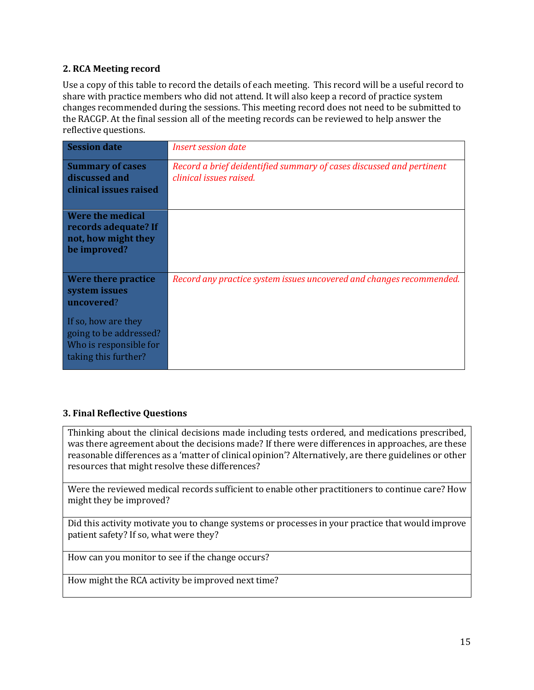## **2. RCA Meeting record**

Use a copy of this table to record the details of each meeting. This record will be a useful record to share with practice members who did not attend. It will also keep a record of practice system changes recommended during the sessions. This meeting record does not need to be submitted to the RACGP. At the final session all of the meeting records can be reviewed to help answer the reflective questions.

| <b>Session date</b>                                                                             | <i>Insert session date</i>                                                                      |
|-------------------------------------------------------------------------------------------------|-------------------------------------------------------------------------------------------------|
| <b>Summary of cases</b><br>discussed and<br>clinical issues raised                              | Record a brief deidentified summary of cases discussed and pertinent<br>clinical issues raised. |
| Were the medical<br>records adequate? If<br>not, how might they<br>be improved?                 |                                                                                                 |
| Were there practice<br>system issues<br>uncovered?                                              | Record any practice system issues uncovered and changes recommended.                            |
| If so, how are they<br>going to be addressed?<br>Who is responsible for<br>taking this further? |                                                                                                 |

## **3. Final Reflective Questions**

Thinking about the clinical decisions made including tests ordered, and medications prescribed, was there agreement about the decisions made? If there were differences in approaches, are these reasonable differences as a 'matter of clinical opinion'? Alternatively, are there guidelines or other resources that might resolve these differences?

Were the reviewed medical records sufficient to enable other practitioners to continue care? How might they be improved?

Did this activity motivate you to change systems or processes in your practice that would improve patient safety? If so, what were they?

How can you monitor to see if the change occurs?

How might the RCA activity be improved next time?